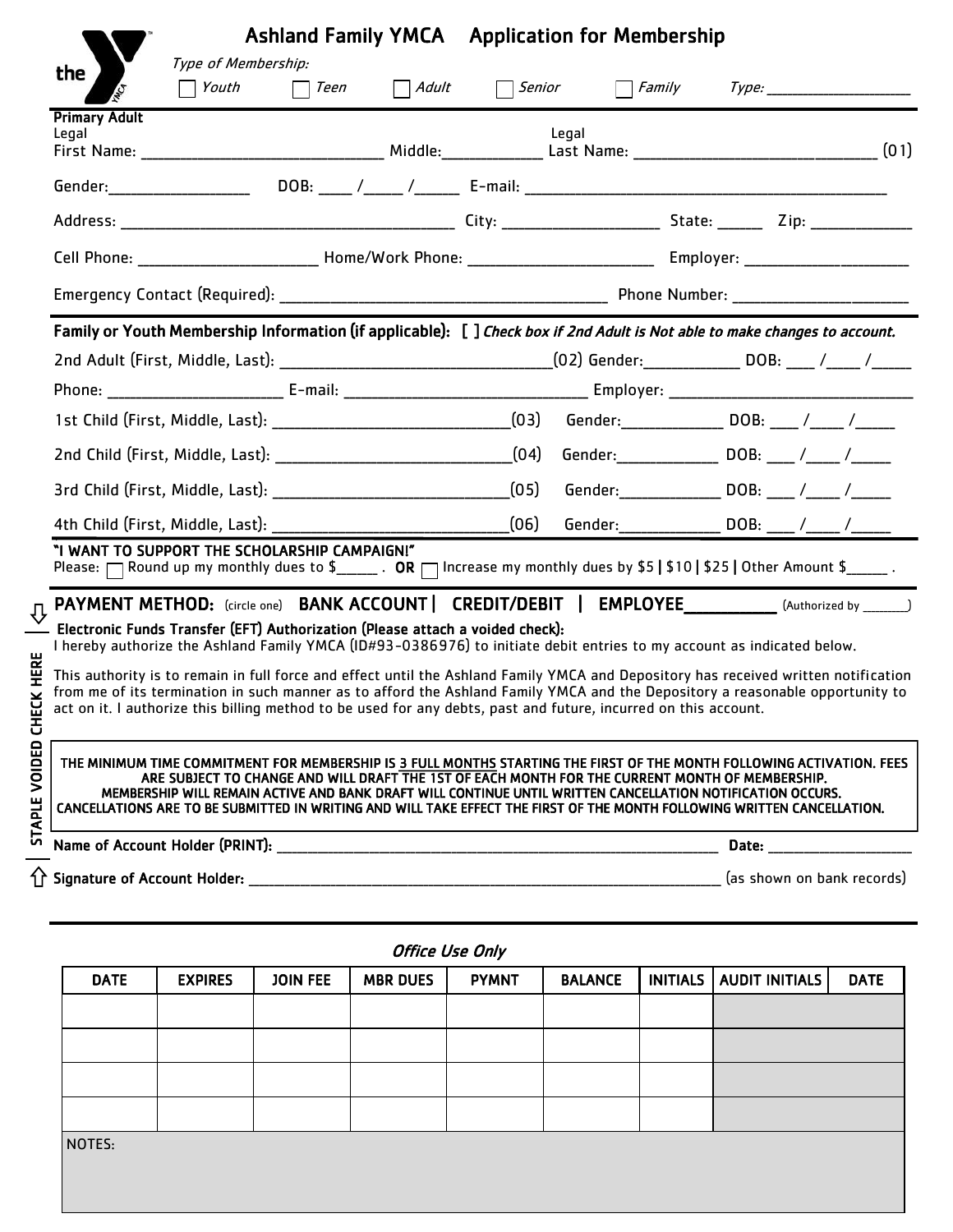|                               | Type of Membership: |                                                                                                                                                                                                                                                                                                                                                                                                                                                                     |                        | <b>Ashland Family YMCA</b> Application for Membership |       |  |                                                          |  |  |
|-------------------------------|---------------------|---------------------------------------------------------------------------------------------------------------------------------------------------------------------------------------------------------------------------------------------------------------------------------------------------------------------------------------------------------------------------------------------------------------------------------------------------------------------|------------------------|-------------------------------------------------------|-------|--|----------------------------------------------------------|--|--|
| the                           | Youth               | $\Box$ Teen                                                                                                                                                                                                                                                                                                                                                                                                                                                         |                        | $\Box$ Adult $\Box$ Senior                            |       |  |                                                          |  |  |
| <b>Primary Adult</b><br>Legal |                     |                                                                                                                                                                                                                                                                                                                                                                                                                                                                     |                        |                                                       | Legal |  |                                                          |  |  |
|                               |                     |                                                                                                                                                                                                                                                                                                                                                                                                                                                                     |                        |                                                       |       |  |                                                          |  |  |
|                               |                     |                                                                                                                                                                                                                                                                                                                                                                                                                                                                     |                        |                                                       |       |  |                                                          |  |  |
|                               |                     |                                                                                                                                                                                                                                                                                                                                                                                                                                                                     |                        |                                                       |       |  |                                                          |  |  |
|                               |                     |                                                                                                                                                                                                                                                                                                                                                                                                                                                                     |                        |                                                       |       |  |                                                          |  |  |
|                               |                     |                                                                                                                                                                                                                                                                                                                                                                                                                                                                     |                        |                                                       |       |  |                                                          |  |  |
|                               |                     | Family or Youth Membership Information (if applicable): [] Check box if 2nd Adult is Not able to make changes to account.                                                                                                                                                                                                                                                                                                                                           |                        |                                                       |       |  |                                                          |  |  |
|                               |                     |                                                                                                                                                                                                                                                                                                                                                                                                                                                                     |                        |                                                       |       |  |                                                          |  |  |
|                               |                     |                                                                                                                                                                                                                                                                                                                                                                                                                                                                     |                        |                                                       |       |  |                                                          |  |  |
|                               |                     |                                                                                                                                                                                                                                                                                                                                                                                                                                                                     |                        |                                                       |       |  |                                                          |  |  |
|                               |                     |                                                                                                                                                                                                                                                                                                                                                                                                                                                                     |                        |                                                       |       |  | Gender: ____________________ DOB: _____ /______ /_______ |  |  |
|                               |                     |                                                                                                                                                                                                                                                                                                                                                                                                                                                                     |                        |                                                       |       |  | Gender: _________________ DOB: ____ /_____ /______       |  |  |
|                               |                     | 4th Child (First, Middle, Last): ______________                                                                                                                                                                                                                                                                                                                                                                                                                     |                        | (06)                                                  |       |  | Gender:__________________ DOB: _____ /_____ /______      |  |  |
|                               |                     | "I WANT TO SUPPORT THE SCHOLARSHIP CAMPAIGN!"<br>Please: $\Box$ Round up my monthly dues to $\frac{1}{2}$ . OR $\Box$ Increase my monthly dues by \$5   \$10   \$25   Other Amount \$______.                                                                                                                                                                                                                                                                        |                        |                                                       |       |  |                                                          |  |  |
|                               |                     | PAYMENT METHOD: (circle one) BANK ACCOUNT   CREDIT/DEBIT   EMPLOYEE___________(Authorized by ______)                                                                                                                                                                                                                                                                                                                                                                |                        |                                                       |       |  |                                                          |  |  |
|                               |                     | Electronic Funds Transfer (EFT) Authorization (Please attach a voided check):<br>I hereby authorize the Ashland Family YMCA (ID#93-0386976) to initiate debit entries to my account as indicated below.                                                                                                                                                                                                                                                             |                        |                                                       |       |  |                                                          |  |  |
|                               |                     | This authority is to remain in full force and effect until the Ashland Family YMCA and Depository has received written notification<br>from me of its termination in such manner as to afford the Ashland Family YMCA and the Depository a reasonable opportunity to<br>act on it. I authorize this billing method to be used for any debts, past and future, incurred on this account.                                                                             |                        |                                                       |       |  |                                                          |  |  |
| Ŧ                             |                     |                                                                                                                                                                                                                                                                                                                                                                                                                                                                     |                        |                                                       |       |  |                                                          |  |  |
| VOIDED<br><b>APLE</b>         |                     | THE MINIMUM TIME COMMITMENT FOR MEMBERSHIP IS 3 FULL MONTHS STARTING THE FIRST OF THE MONTH FOLLOWING ACTIVATION. FEES<br>ARE SUBJECT TO CHANGE AND WILL DRAFT THE 1ST OF EACH MONTH FOR THE CURRENT MONTH OF MEMBERSHIP.<br>MEMBERSHIP WILL REMAIN ACTIVE AND BANK DRAFT WILL CONTINUE UNTIL WRITTEN CANCELLATION NOTIFICATION OCCURS.<br>CANCELLATIONS ARE TO BE SUBMITTED IN WRITING AND WILL TAKE EFFECT THE FIRST OF THE MONTH FOLLOWING WRITTEN CANCELLATION. |                        |                                                       |       |  |                                                          |  |  |
| n                             |                     |                                                                                                                                                                                                                                                                                                                                                                                                                                                                     |                        |                                                       |       |  | Date: ________________                                   |  |  |
|                               |                     |                                                                                                                                                                                                                                                                                                                                                                                                                                                                     |                        |                                                       |       |  | (as shown on bank records)                               |  |  |
|                               |                     |                                                                                                                                                                                                                                                                                                                                                                                                                                                                     | <b>Office Use Only</b> |                                                       |       |  |                                                          |  |  |
| <b>DATE</b>                   | <b>FYPIRES</b>      | IOIN FFF ARR DUFS DVMNT                                                                                                                                                                                                                                                                                                                                                                                                                                             |                        |                                                       |       |  | BALANCE INITIALS ALIDIT INITIALS DATE                    |  |  |

| <b>DATE</b> | <b>EXPIRES</b> | <b>JOIN FEE</b> | <b>MBR DUES</b> | <b>PYMNT</b> | <b>BALANCE</b> | INITIALS   AUDIT INITIALS | <b>DATE</b> |
|-------------|----------------|-----------------|-----------------|--------------|----------------|---------------------------|-------------|
|             |                |                 |                 |              |                |                           |             |
|             |                |                 |                 |              |                |                           |             |
|             |                |                 |                 |              |                |                           |             |
|             |                |                 |                 |              |                |                           |             |
| NOTES:      |                |                 |                 |              |                |                           |             |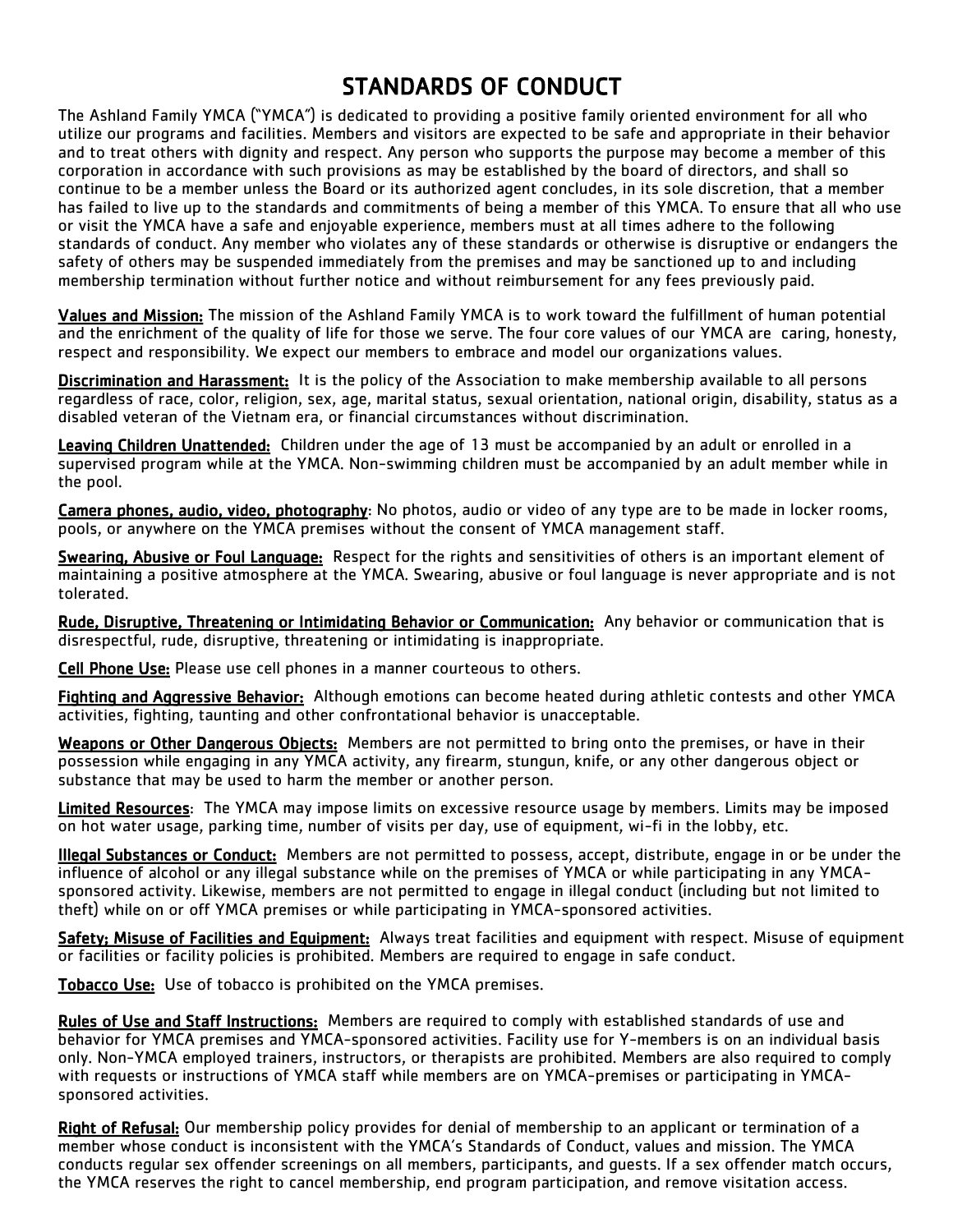# STANDARDS OF CONDUCT

The Ashland Family YMCA ("YMCA") is dedicated to providing a positive family oriented environment for all who utilize our programs and facilities. Members and visitors are expected to be safe and appropriate in their behavior and to treat others with dignity and respect. Any person who supports the purpose may become a member of this corporation in accordance with such provisions as may be established by the board of directors, and shall so continue to be a member unless the Board or its authorized agent concludes, in its sole discretion, that a member has failed to live up to the standards and commitments of being a member of this YMCA. To ensure that all who use or visit the YMCA have a safe and enjoyable experience, members must at all times adhere to the following standards of conduct. Any member who violates any of these standards or otherwise is disruptive or endangers the safety of others may be suspended immediately from the premises and may be sanctioned up to and including membership termination without further notice and without reimbursement for any fees previously paid.

Values and Mission: The mission of the Ashland Family YMCA is to work toward the fulfillment of human potential and the enrichment of the quality of life for those we serve. The four core values of our YMCA are caring, honesty, respect and responsibility. We expect our members to embrace and model our organizations values.

Discrimination and Harassment: It is the policy of the Association to make membership available to all persons regardless of race, color, religion, sex, age, marital status, sexual orientation, national origin, disability, status as a disabled veteran of the Vietnam era, or financial circumstances without discrimination.

Leaving Children Unattended: Children under the age of 13 must be accompanied by an adult or enrolled in a supervised program while at the YMCA. Non-swimming children must be accompanied by an adult member while in the pool.

Camera phones, audio, video, photography: No photos, audio or video of any type are to be made in locker rooms, pools, or anywhere on the YMCA premises without the consent of YMCA management staff.

Swearing, Abusive or Foul Language: Respect for the rights and sensitivities of others is an important element of maintaining a positive atmosphere at the YMCA. Swearing, abusive or foul language is never appropriate and is not tolerated.

Rude, Disruptive, Threatening or Intimidating Behavior or Communication: Any behavior or communication that is disrespectful, rude, disruptive, threatening or intimidating is inappropriate.

Cell Phone Use: Please use cell phones in a manner courteous to others.

Fighting and Aggressive Behavior: Although emotions can become heated during athletic contests and other YMCA activities, fighting, taunting and other confrontational behavior is unacceptable.

Weapons or Other Dangerous Objects: Members are not permitted to bring onto the premises, or have in their possession while engaging in any YMCA activity, any firearm, stungun, knife, or any other dangerous object or substance that may be used to harm the member or another person.

Limited Resources: The YMCA may impose limits on excessive resource usage by members. Limits may be imposed on hot water usage, parking time, number of visits per day, use of equipment, wi-fi in the lobby, etc.

Illegal Substances or Conduct: Members are not permitted to possess, accept, distribute, engage in or be under the influence of alcohol or any illegal substance while on the premises of YMCA or while participating in any YMCAsponsored activity. Likewise, members are not permitted to engage in illegal conduct (including but not limited to theft) while on or off YMCA premises or while participating in YMCA-sponsored activities.

Safety; Misuse of Facilities and Equipment: Always treat facilities and equipment with respect. Misuse of equipment or facilities or facility policies is prohibited. Members are required to engage in safe conduct.

Tobacco Use: Use of tobacco is prohibited on the YMCA premises.

Rules of Use and Staff Instructions: Members are required to comply with established standards of use and behavior for YMCA premises and YMCA-sponsored activities. Facility use for Y-members is on an individual basis only. Non-YMCA employed trainers, instructors, or therapists are prohibited. Members are also required to comply with requests or instructions of YMCA staff while members are on YMCA-premises or participating in YMCAsponsored activities.

 Right of Refusal: Our membership policy provides for denial of membership to an applicant or termination of a member whose conduct is inconsistent with the YMCA's Standards of Conduct, values and mission. The YMCA conducts regular sex offender screenings on all members, participants, and guests. If a sex offender match occurs, the YMCA reserves the right to cancel membership, end program participation, and remove visitation access.